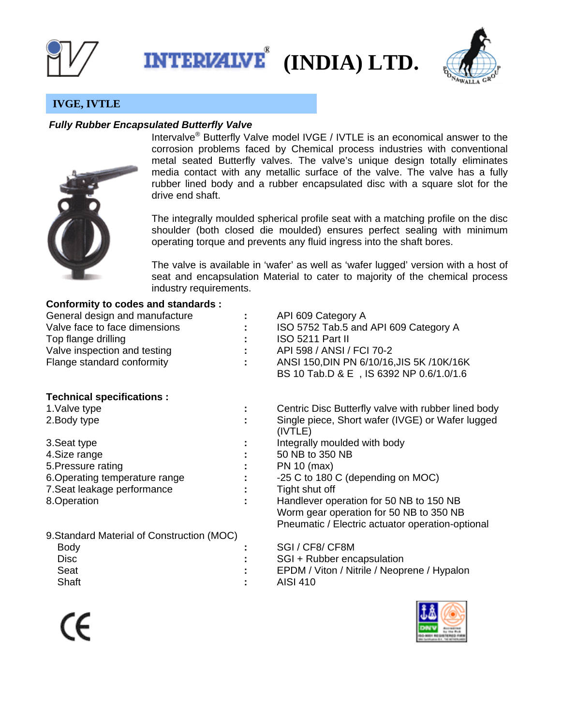

**INTERIZIVE® (INDIA) LTD.** 



# **IVGE, IVTLE**

## *Fully Rubber Encapsulated Butterfly Valve*



Intervalve® Butterfly Valve model IVGE / IVTLE is an economical answer to the corrosion problems faced by Chemical process industries with conventional metal seated Butterfly valves. The valve's unique design totally eliminates media contact with any metallic surface of the valve. The valve has a fully rubber lined body and a rubber encapsulated disc with a square slot for the drive end shaft.

The integrally moulded spherical profile seat with a matching profile on the disc shoulder (both closed die moulded) ensures perfect sealing with minimum operating torque and prevents any fluid ingress into the shaft bores.

The valve is available in 'wafer' as well as 'wafer lugged' version with a host of seat and encapsulation Material to cater to majority of the chemical process industry requirements.

### **Conformity to codes and standards :**

| General design and manufacture |                           | API 609 Category A                        |
|--------------------------------|---------------------------|-------------------------------------------|
| Valve face to face dimensions  | ÷.                        | ISO 5752 Tab.5 and API 609 Category A     |
| Top flange drilling            | t i                       | ISO 5211 Part II                          |
| Valve inspection and testing   | $\mathbb{R}^n$            | API 598 / ANSI / FCI 70-2                 |
| Flange standard conformity     | $\mathbb{R}^{\mathbb{Z}}$ | ANSI 150, DIN PN 6/10/16, JIS 5K /10K/16K |
|                                |                           | BS 10 Tab.D & E, IS 6392 NP 0.6/1.0/1.6   |

# **Technical specifications :**

| 1. Valve type                             | Centric Disc Butterfly valve with rubber lined body         |
|-------------------------------------------|-------------------------------------------------------------|
| 2. Body type                              | Single piece, Short wafer (IVGE) or Wafer lugged<br>(IVTLE) |
| 3. Seat type                              | Integrally moulded with body                                |
| 4. Size range                             | 50 NB to 350 NB                                             |
| 5. Pressure rating                        | PN 10 (max)                                                 |
| 6. Operating temperature range            | -25 C to 180 C (depending on MOC)                           |
| 7. Seat leakage performance               | Tight shut off                                              |
| 8. Operation                              | Handlever operation for 50 NB to 150 NB                     |
|                                           | Worm gear operation for 50 NB to 350 NB                     |
|                                           | Pneumatic / Electric actuator operation-optional            |
| 0 Standard Material of Construction (MOC) |                                                             |

| 3. Oldi idai u Malerial OL Coristi uction (MOCT |                                             |
|-------------------------------------------------|---------------------------------------------|
| <b>Body</b>                                     | SGI / CF8/ CF8M                             |
| Disc.                                           | SGI + Rubber encapsulation                  |
| Seat                                            | EPDM / Viton / Nitrile / Neoprene / Hypalon |
| Shaft                                           | AISI 410                                    |
|                                                 |                                             |